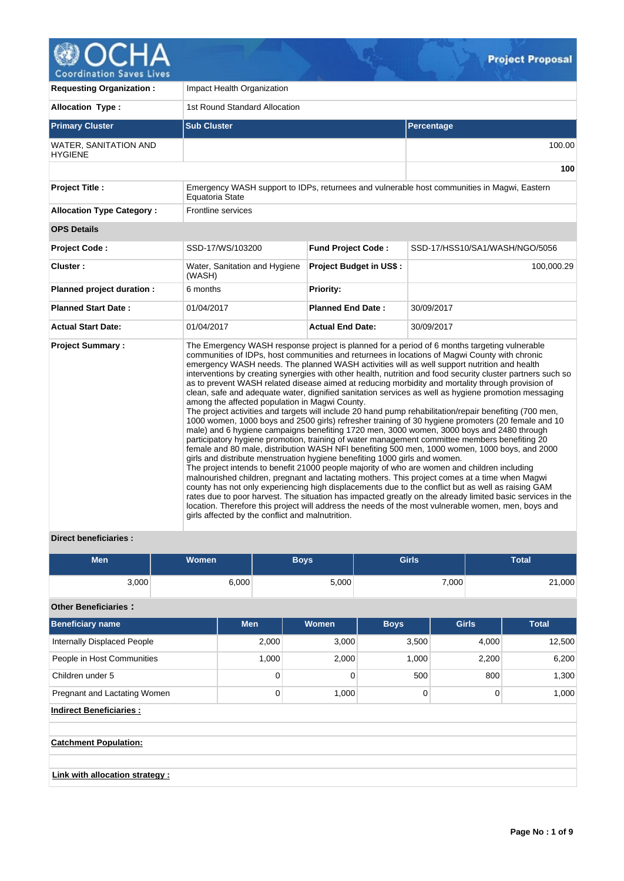

100.00

**100**

**Requesting Organization :** Impact Health Organization Allocation Type : 1st Round Standard Allocation **Primary Cluster Sub Cluster Sub Cluster** Sub Cluster Sub Cluster Sub Cluster Sub Cluster Sub Cluster Sub Cluster WATER, SANITATION AND **HYGIENE Project Title :** Emergency WASH support to IDPs, returnees and vulnerable host communities in Magwi, Eastern Equatoria State Allocation Type Category : Frontline services **OPS Details Project Code :** SSD-17/WS/103200 **Fund Project Code :** SSD-17/HSS10/SA1/WASH/NGO/5056 **Cluster :** Water, Sanitation and Hygiene (WASH) **Project Budget in US\$ :** 100,000.29 **Planned project duration :** 6 months **Planned Priority: Planned Start Date :** 01/04/2017 **Planned End Date :** 30/09/2017 **Actual Start Date:** 01/04/2017 **Actual End Date:** 30/09/2017 **Project Summary :** The Emergency WASH response project is planned for a period of 6 months targeting vulnerable communities of IDPs, host communities and returnees in locations of Magwi County with chronic emergency WASH needs. The planned WASH activities will as well support nutrition and health interventions by creating synergies with other health, nutrition and food security cluster partners such so as to prevent WASH related disease aimed at reducing morbidity and mortality through provision of clean, safe and adequate water, dignified sanitation services as well as hygiene promotion messaging among the affected population in Magwi County. The project activities and targets will include 20 hand pump rehabilitation/repair benefiting (700 men, 1000 women, 1000 boys and 2500 girls) refresher training of 30 hygiene promoters (20 female and 10 male) and 6 hygiene campaigns benefiting 1720 men, 3000 women, 3000 boys and 2480 through participatory hygiene promotion, training of water management committee members benefiting 20 female and 80 male, distribution WASH NFI benefiting 500 men, 1000 women, 1000 boys, and 2000 girls and distribute menstruation hygiene benefiting 1000 girls and women. The project intends to benefit 21000 people majority of who are women and children including malnourished children, pregnant and lactating mothers. This project comes at a time when Magwi county has not only experiencing high displacements due to the conflict but as well as raising GAM rates due to poor harvest. The situation has impacted greatly on the already limited basic services in the location. Therefore this project will address the needs of the most vulnerable women, men, boys and

## **Direct beneficiaries :**

| Men   | Women | <b>Boys</b> | <b>Girls</b> | <b>Total</b> |
|-------|-------|-------------|--------------|--------------|
| 3,000 | 6,000 | 5,000       | 7,000        | 21,000       |

girls affected by the conflict and malnutrition.

## **Other Beneficiaries :**

| <b>Beneficiary name</b>            | <b>Men</b> | Women | <b>Boys</b> | <b>Girls</b> | <b>Total</b> |
|------------------------------------|------------|-------|-------------|--------------|--------------|
| <b>Internally Displaced People</b> | 2,000      | 3,000 | 3,500       | 4,000        | 12,500       |
| People in Host Communities         | 1,000      | 2,000 | 1,000       | 2,200        | 6,200        |
| Children under 5                   | 0          | 0     | 500         | 800          | 1,300        |
| Pregnant and Lactating Women       | 0          | 1,000 | 0           | $\Omega$     | 1,000        |
| <b>Indirect Beneficiaries:</b>     |            |       |             |              |              |
|                                    |            |       |             |              |              |
| <b>Catchment Population:</b>       |            |       |             |              |              |
| Link with allocation strategy:     |            |       |             |              |              |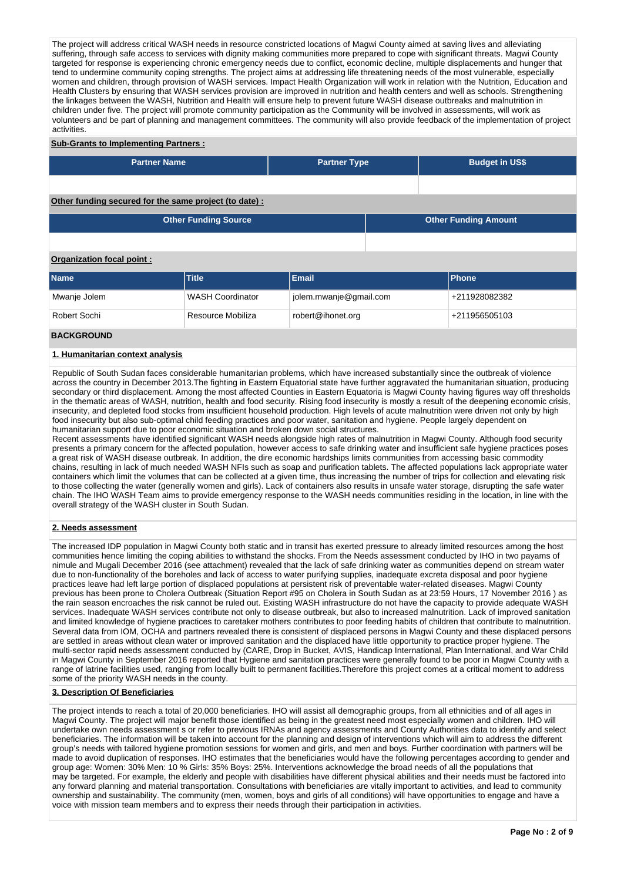The project will address critical WASH needs in resource constricted locations of Magwi County aimed at saving lives and alleviating suffering, through safe access to services with dignity making communities more prepared to cope with significant threats. Magwi County targeted for response is experiencing chronic emergency needs due to conflict, economic decline, multiple displacements and hunger that tend to undermine community coping strengths. The project aims at addressing life threatening needs of the most vulnerable, especially women and children, through provision of WASH services. Impact Health Organization will work in relation with the Nutrition, Education and Health Clusters by ensuring that WASH services provision are improved in nutrition and health centers and well as schools. Strengthening the linkages between the WASH, Nutrition and Health will ensure help to prevent future WASH disease outbreaks and malnutrition in children under five. The project will promote community participation as the Community will be involved in assessments, will work as volunteers and be part of planning and management committees. The community will also provide feedback of the implementation of project activities.

### **Sub-Grants to Implementing Partners :**

| <b>Partner Name</b>                                    | <b>Partner Type</b> | <b>Budget in US\$</b>       |
|--------------------------------------------------------|---------------------|-----------------------------|
|                                                        |                     |                             |
|                                                        |                     |                             |
| Other funding secured for the same project (to date) : |                     |                             |
| <b>Other Funding Source</b>                            |                     | <b>Other Funding Amount</b> |
|                                                        |                     |                             |

## **Organization focal point :**

| <b>Name</b>  | Title                   | Email                  | <b>IPhone</b> |
|--------------|-------------------------|------------------------|---------------|
| Mwanje Jolem | <b>WASH Coordinator</b> | jolem.mwanje@gmail.com | +211928082382 |
| Robert Sochi | Resource Mobiliza       | robert@ihonet.org      | +211956505103 |

### **BACKGROUND**

### **1. Humanitarian context analysis**

Republic of South Sudan faces considerable humanitarian problems, which have increased substantially since the outbreak of violence across the country in December 2013.The fighting in Eastern Equatorial state have further aggravated the humanitarian situation, producing secondary or third displacement. Among the most affected Counties in Eastern Equatoria is Magwi County having figures way off thresholds in the thematic areas of WASH, nutrition, health and food security. Rising food insecurity is mostly a result of the deepening economic crisis, insecurity, and depleted food stocks from insufficient household production. High levels of acute malnutrition were driven not only by high food insecurity but also sub-optimal child feeding practices and poor water, sanitation and hygiene. People largely dependent on humanitarian support due to poor economic situation and broken down social structures.

Recent assessments have identified significant WASH needs alongside high rates of malnutrition in Magwi County. Although food security presents a primary concern for the affected population, however access to safe drinking water and insufficient safe hygiene practices poses a great risk of WASH disease outbreak. In addition, the dire economic hardships limits communities from accessing basic commodity chains, resulting in lack of much needed WASH NFIs such as soap and purification tablets. The affected populations lack appropriate water containers which limit the volumes that can be collected at a given time, thus increasing the number of trips for collection and elevating risk to those collecting the water (generally women and girls). Lack of containers also results in unsafe water storage, disrupting the safe water chain. The IHO WASH Team aims to provide emergency response to the WASH needs communities residing in the location, in line with the overall strategy of the WASH cluster in South Sudan.

## **2. Needs assessment**

The increased IDP population in Magwi County both static and in transit has exerted pressure to already limited resources among the host communities hence limiting the coping abilities to withstand the shocks. From the Needs assessment conducted by IHO in two payams of nimule and Mugali December 2016 (see attachment) revealed that the lack of safe drinking water as communities depend on stream water due to non-functionality of the boreholes and lack of access to water purifying supplies, inadequate excreta disposal and poor hygiene practices leave had left large portion of displaced populations at persistent risk of preventable water-related diseases. Magwi County previous has been prone to Cholera Outbreak (Situation Report #95 on Cholera in South Sudan as at 23:59 Hours, 17 November 2016 ) as the rain season encroaches the risk cannot be ruled out. Existing WASH infrastructure do not have the capacity to provide adequate WASH services. Inadequate WASH services contribute not only to disease outbreak, but also to increased malnutrition. Lack of improved sanitation and limited knowledge of hygiene practices to caretaker mothers contributes to poor feeding habits of children that contribute to malnutrition. Several data from IOM, OCHA and partners revealed there is consistent of displaced persons in Magwi County and these displaced persons are settled in areas without clean water or improved sanitation and the displaced have little opportunity to practice proper hygiene. The multi-sector rapid needs assessment conducted by (CARE, Drop in Bucket, AVIS, Handicap International, Plan International, and War Child in Magwi County in September 2016 reported that Hygiene and sanitation practices were generally found to be poor in Magwi County with a range of latrine facilities used, ranging from locally built to permanent facilities.Therefore this project comes at a critical moment to address some of the priority WASH needs in the county.

### **3. Description Of Beneficiaries**

The project intends to reach a total of 20,000 beneficiaries. IHO will assist all demographic groups, from all ethnicities and of all ages in Magwi County. The project will major benefit those identified as being in the greatest need most especially women and children. IHO will undertake own needs assessment s or refer to previous IRNAs and agency assessments and County Authorities data to identify and select beneficiaries. The information will be taken into account for the planning and design of interventions which will aim to address the different group's needs with tailored hygiene promotion sessions for women and girls, and men and boys. Further coordination with partners will be made to avoid duplication of responses. IHO estimates that the beneficiaries would have the following percentages according to gender and group age: Women: 30% Men: 10 % Girls: 35% Boys: 25%. Interventions acknowledge the broad needs of all the populations that may be targeted. For example, the elderly and people with disabilities have different physical abilities and their needs must be factored into any forward planning and material transportation. Consultations with beneficiaries are vitally important to activities, and lead to community ownership and sustainability. The community (men, women, boys and girls of all conditions) will have opportunities to engage and have a voice with mission team members and to express their needs through their participation in activities.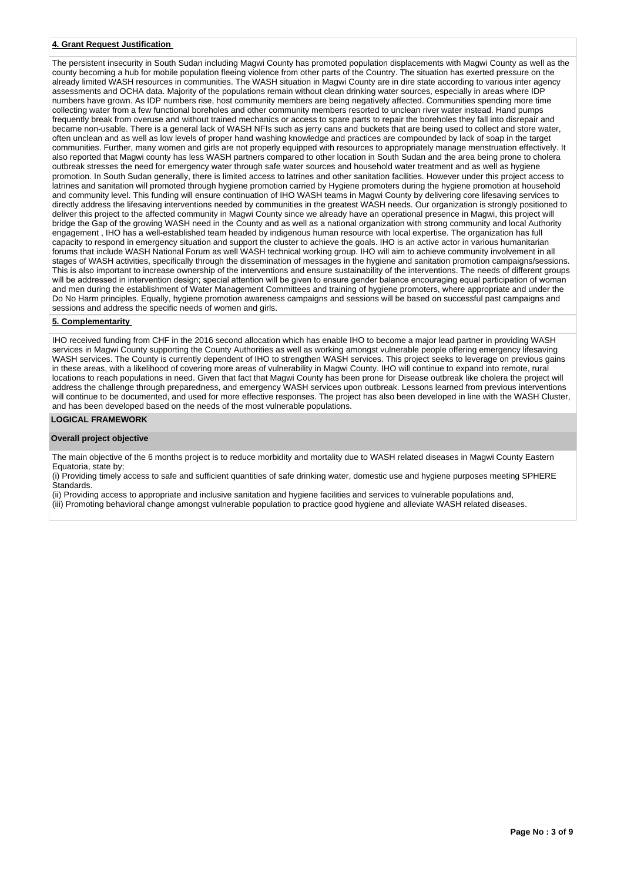## **4. Grant Request Justification**

The persistent insecurity in South Sudan including Magwi County has promoted population displacements with Magwi County as well as the county becoming a hub for mobile population fleeing violence from other parts of the Country. The situation has exerted pressure on the already limited WASH resources in communities. The WASH situation in Magwi County are in dire state according to various inter agency assessments and OCHA data. Majority of the populations remain without clean drinking water sources, especially in areas where IDP numbers have grown. As IDP numbers rise, host community members are being negatively affected. Communities spending more time collecting water from a few functional boreholes and other community members resorted to unclean river water instead. Hand pumps frequently break from overuse and without trained mechanics or access to spare parts to repair the boreholes they fall into disrepair and became non-usable. There is a general lack of WASH NFIs such as jerry cans and buckets that are being used to collect and store water, often unclean and as well as low levels of proper hand washing knowledge and practices are compounded by lack of soap in the target communities. Further, many women and girls are not properly equipped with resources to appropriately manage menstruation effectively. It also reported that Magwi county has less WASH partners compared to other location in South Sudan and the area being prone to cholera outbreak stresses the need for emergency water through safe water sources and household water treatment and as well as hygiene promotion. In South Sudan generally, there is limited access to latrines and other sanitation facilities. However under this project access to latrines and sanitation will promoted through hygiene promotion carried by Hygiene promoters during the hygiene promotion at household and community level. This funding will ensure continuation of IHO WASH teams in Magwi County by delivering core lifesaving services to directly address the lifesaving interventions needed by communities in the greatest WASH needs. Our organization is strongly positioned to deliver this project to the affected community in Magwi County since we already have an operational presence in Magwi, this project will bridge the Gap of the growing WASH need in the County and as well as a national organization with strong community and local Authority engagement , IHO has a well-established team headed by indigenous human resource with local expertise. The organization has full capacity to respond in emergency situation and support the cluster to achieve the goals. IHO is an active actor in various humanitarian forums that include WASH National Forum as well WASH technical working group. IHO will aim to achieve community involvement in all stages of WASH activities, specifically through the dissemination of messages in the hygiene and sanitation promotion campaigns/sessions. This is also important to increase ownership of the interventions and ensure sustainability of the interventions. The needs of different groups will be addressed in intervention design: special attention will be given to ensure gender balance encouraging equal participation of woman and men during the establishment of Water Management Committees and training of hygiene promoters, where appropriate and under the Do No Harm principles. Equally, hygiene promotion awareness campaigns and sessions will be based on successful past campaigns and sessions and address the specific needs of women and girls.

### **5. Complementarity**

IHO received funding from CHF in the 2016 second allocation which has enable IHO to become a major lead partner in providing WASH services in Magwi County supporting the County Authorities as well as working amongst vulnerable people offering emergency lifesaving WASH services. The County is currently dependent of IHO to strengthen WASH services. This project seeks to leverage on previous gains in these areas, with a likelihood of covering more areas of vulnerability in Magwi County. IHO will continue to expand into remote, rural locations to reach populations in need. Given that fact that Magwi County has been prone for Disease outbreak like cholera the project will address the challenge through preparedness, and emergency WASH services upon outbreak. Lessons learned from previous interventions will continue to be documented, and used for more effective responses. The project has also been developed in line with the WASH Cluster, and has been developed based on the needs of the most vulnerable populations.

### **LOGICAL FRAMEWORK**

## **Overall project objective**

The main objective of the 6 months project is to reduce morbidity and mortality due to WASH related diseases in Magwi County Eastern Equatoria, state by;

(i) Providing timely access to safe and sufficient quantities of safe drinking water, domestic use and hygiene purposes meeting SPHERE Standards.

(ii) Providing access to appropriate and inclusive sanitation and hygiene facilities and services to vulnerable populations and, (iii) Promoting behavioral change amongst vulnerable population to practice good hygiene and alleviate WASH related diseases.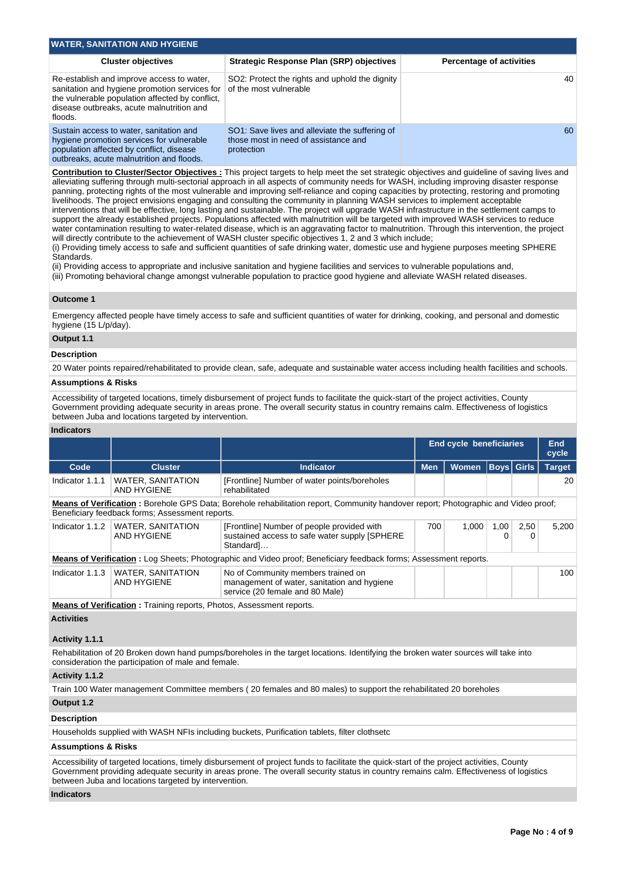| <b>WATER, SANITATION AND HYGIENE</b>                                                                                                                                                                  |                                                                                                      |                                 |  |  |  |  |  |  |  |  |
|-------------------------------------------------------------------------------------------------------------------------------------------------------------------------------------------------------|------------------------------------------------------------------------------------------------------|---------------------------------|--|--|--|--|--|--|--|--|
| <b>Cluster objectives</b>                                                                                                                                                                             | <b>Strategic Response Plan (SRP) objectives</b>                                                      | <b>Percentage of activities</b> |  |  |  |  |  |  |  |  |
| Re-establish and improve access to water.<br>sanitation and hygiene promotion services for<br>the vulnerable population affected by conflict,<br>disease outbreaks, acute malnutrition and<br>floods. | SO2: Protect the rights and uphold the dignity<br>of the most vulnerable                             | 40                              |  |  |  |  |  |  |  |  |
| Sustain access to water, sanitation and<br>hygiene promotion services for vulnerable<br>population affected by conflict, disease<br>outbreaks, acute malnutrition and floods.                         | SO1: Save lives and alleviate the suffering of<br>those most in need of assistance and<br>protection | 60                              |  |  |  |  |  |  |  |  |

**Contribution to Cluster/Sector Objectives :** This project targets to help meet the set strategic objectives and guideline of saving lives and alleviating suffering through multi-sectorial approach in all aspects of community needs for WASH, including improving disaster response panning, protecting rights of the most vulnerable and improving self-reliance and coping capacities by protecting, restoring and promoting livelihoods. The project envisions engaging and consulting the community in planning WASH services to implement acceptable interventions that will be effective, long lasting and sustainable. The project will upgrade WASH infrastructure in the settlement camps to support the already established projects. Populations affected with malnutrition will be targeted with improved WASH services to reduce water contamination resulting to water-related disease, which is an aggravating factor to malnutrition. Through this intervention, the project will directly contribute to the achievement of WASH cluster specific objectives 1, 2 and 3 which include; (i) Providing timely access to safe and sufficient quantities of safe drinking water, domestic use and hygiene purposes meeting SPHERE Standards.

(ii) Providing access to appropriate and inclusive sanitation and hygiene facilities and services to vulnerable populations and, (iii) Promoting behavioral change amongst vulnerable population to practice good hygiene and alleviate WASH related diseases.

### **Outcome 1**

Emergency affected people have timely access to safe and sufficient quantities of water for drinking, cooking, and personal and domestic hygiene (15 L/p/day).

## **Output 1.1**

### **Description**

20 Water points repaired/rehabilitated to provide clean, safe, adequate and sustainable water access including health facilities and schools.

### **Assumptions & Risks**

Accessibility of targeted locations, timely disbursement of project funds to facilitate the quick-start of the project activities, County Government providing adequate security in areas prone. The overall security status in country remains calm. Effectiveness of logistics between Juba and locations targeted by intervention.

## **Indicators**

|                                     |                                                                                                                                                             |                                                                                                                                    |                            | <b>End cycle beneficiaries</b> |           |                   |               |  |  |  |
|-------------------------------------|-------------------------------------------------------------------------------------------------------------------------------------------------------------|------------------------------------------------------------------------------------------------------------------------------------|----------------------------|--------------------------------|-----------|-------------------|---------------|--|--|--|
| Code                                | <b>Cluster</b>                                                                                                                                              | Indicator                                                                                                                          | <b>Women</b><br><b>Men</b> |                                |           | <b>Boys Girls</b> | <b>Target</b> |  |  |  |
| Indicator 1.1.1                     | <b>WATER, SANITATION</b><br>AND HYGIENE                                                                                                                     | [Frontline] Number of water points/boreholes<br>rehabilitated                                                                      |                            |                                |           |                   | 20            |  |  |  |
|                                     | Beneficiary feedback forms; Assessment reports.                                                                                                             | Means of Verification: Borehole GPS Data; Borehole rehabilitation report, Community handover report; Photographic and Video proof; |                            |                                |           |                   |               |  |  |  |
| Indicator 1.1.2                     | <b>WATER, SANITATION</b><br>[Frontline] Number of people provided with<br><b>AND HYGIENE</b><br>sustained access to safe water supply [SPHERE]<br>Standard] |                                                                                                                                    | 700                        | 1,000                          | 1,00<br>0 | 2,50<br>0         | 5,200         |  |  |  |
|                                     |                                                                                                                                                             | <b>Means of Verification:</b> Log Sheets; Photographic and Video proof; Beneficiary feedback forms; Assessment reports.            |                            |                                |           |                   |               |  |  |  |
| Indicator 1.1.3                     | WATER, SANITATION<br><b>AND HYGIENE</b>                                                                                                                     | No of Community members trained on<br>management of water, sanitation and hygiene<br>service (20 female and 80 Male)               |                            |                                |           |                   | 100           |  |  |  |
|                                     |                                                                                                                                                             |                                                                                                                                    |                            |                                |           |                   |               |  |  |  |
| <b>Activities</b><br>Activity 1.1.1 | <b>Means of Verification:</b> Training reports, Photos, Assessment reports.                                                                                 |                                                                                                                                    |                            |                                |           |                   |               |  |  |  |
|                                     | consideration the participation of male and female.                                                                                                         | Rehabilitation of 20 Broken down hand pumps/boreholes in the target locations. Identifying the broken water sources will take into |                            |                                |           |                   |               |  |  |  |

# **Activity 1.1.2**

Train 100 Water management Committee members ( 20 females and 80 males) to support the rehabilitated 20 boreholes

### **Output 1.2**

### **Description**

Households supplied with WASH NFIs including buckets, Purification tablets, filter clothsetc

### **Assumptions & Risks**

Accessibility of targeted locations, timely disbursement of project funds to facilitate the quick-start of the project activities, County Government providing adequate security in areas prone. The overall security status in country remains calm. Effectiveness of logistics between Juba and locations targeted by intervention.

## **Indicators**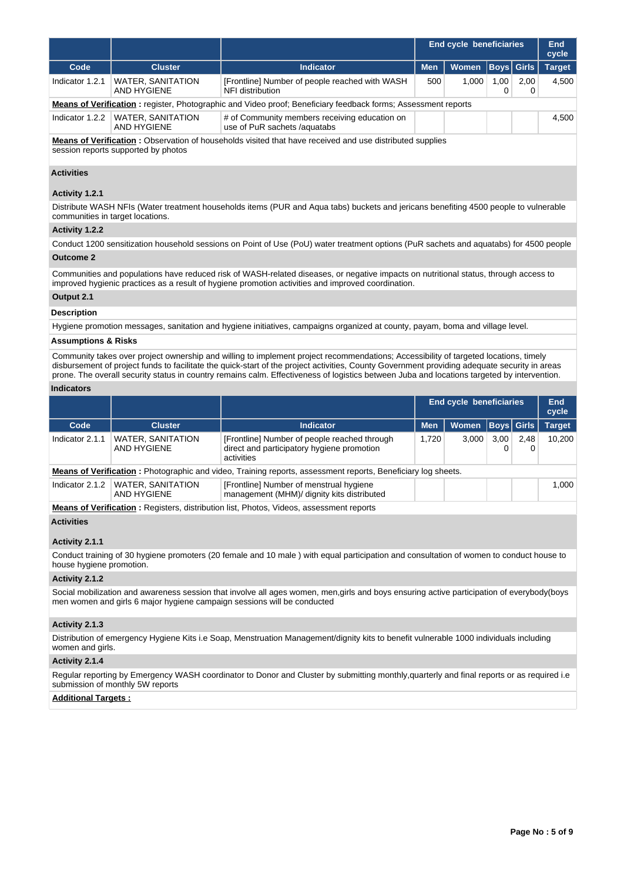|                 |                                                                                                                                                        |                                                                                                                      |            | <b>End cycle beneficiaries</b> |                   |           | End<br>cycle  |  |  |  |
|-----------------|--------------------------------------------------------------------------------------------------------------------------------------------------------|----------------------------------------------------------------------------------------------------------------------|------------|--------------------------------|-------------------|-----------|---------------|--|--|--|
| Code            | <b>Cluster</b>                                                                                                                                         | <b>Indicator</b>                                                                                                     | <b>Men</b> | Women                          | <b>Boys</b> Girls |           | <b>Target</b> |  |  |  |
| Indicator 1.2.1 | WATER, SANITATION<br>AND HYGIENE                                                                                                                       | [Frontline] Number of people reached with WASH<br>NFI distribution                                                   | 500        | 1.000                          | 1,00              | 2.00<br>0 | 4.500         |  |  |  |
|                 |                                                                                                                                                        | <b>Means of Verification:</b> register, Photographic and Video proof; Beneficiary feedback forms; Assessment reports |            |                                |                   |           |               |  |  |  |
| Indicator 1.2.2 | <b>WATER, SANITATION</b><br>AND HYGIENE                                                                                                                | # of Community members receiving education on<br>use of PuR sachets /aquatabs                                        |            |                                |                   |           | 4.500         |  |  |  |
|                 | <b>Means of Verification:</b> Observation of households visited that have received and use distributed supplies<br>session reports supported by photos |                                                                                                                      |            |                                |                   |           |               |  |  |  |

### **Activities**

### **Activity 1.2.1**

Distribute WASH NFIs (Water treatment households items (PUR and Aqua tabs) buckets and jericans benefiting 4500 people to vulnerable communities in target locations.

### **Activity 1.2.2**

Conduct 1200 sensitization household sessions on Point of Use (PoU) water treatment options (PuR sachets and aquatabs) for 4500 people

# **Outcome 2**

Communities and populations have reduced risk of WASH-related diseases, or negative impacts on nutritional status, through access to improved hygienic practices as a result of hygiene promotion activities and improved coordination.

# **Output 2.1**

# **Description**

Hygiene promotion messages, sanitation and hygiene initiatives, campaigns organized at county, payam, boma and village level.

# **Assumptions & Risks**

Community takes over project ownership and willing to implement project recommendations; Accessibility of targeted locations, timely disbursement of project funds to facilitate the quick-start of the project activities, County Government providing adequate security in areas prone. The overall security status in country remains calm. Effectiveness of logistics between Juba and locations targeted by intervention.

# **Indicators**

|                 |                                         |                                                                                                                     |            | <b>End cycle beneficiaries</b> |      |             | End<br>cycle  |
|-----------------|-----------------------------------------|---------------------------------------------------------------------------------------------------------------------|------------|--------------------------------|------|-------------|---------------|
| Code            | <b>Cluster</b>                          | <b>Indicator</b>                                                                                                    | <b>Men</b> | <b>Women</b>                   |      | Boys  Girls | <b>Target</b> |
| Indicator 2.1.1 | <b>WATER, SANITATION</b><br>AND HYGIENE | [Frontline] Number of people reached through<br>direct and participatory hygiene promotion<br>activities            | 1.720      | 3.000                          | 3.00 | 2.48        | 10.200        |
|                 |                                         | <b>Means of Verification:</b> Photographic and video, Training reports, assessment reports, Beneficiary log sheets. |            |                                |      |             |               |
| Indicator 2.1.2 | <b>WATER, SANITATION</b><br>AND HYGIENE | [Frontline] Number of menstrual hygiene<br>management (MHM)/ dignity kits distributed                               |            |                                |      |             | 1.000         |
|                 |                                         | Means of Verification : Desisters distribution list Dhotes Videos concernant reports                                |            |                                |      |             |               |

**Means of Verification : Registers, distribution list, Photos, Videos, assessment reports** 

# **Activities**

## **Activity 2.1.1**

Conduct training of 30 hygiene promoters (20 female and 10 male ) with equal participation and consultation of women to conduct house to house hygiene promotion.

## **Activity 2.1.2**

Social mobilization and awareness session that involve all ages women, men,girls and boys ensuring active participation of everybody(boys men women and girls 6 major hygiene campaign sessions will be conducted

### **Activity 2.1.3**

Distribution of emergency Hygiene Kits i.e Soap, Menstruation Management/dignity kits to benefit vulnerable 1000 individuals including women and girls.

## **Activity 2.1.4**

Regular reporting by Emergency WASH coordinator to Donor and Cluster by submitting monthly,quarterly and final reports or as required i.e submission of monthly 5W reports

## **Additional Targets :**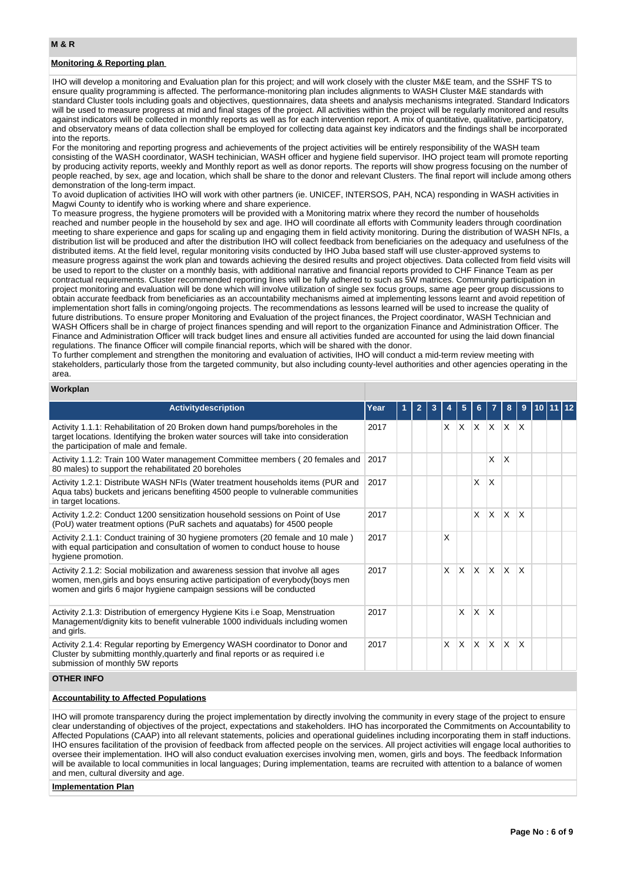# **Monitoring & Reporting plan**

IHO will develop a monitoring and Evaluation plan for this project; and will work closely with the cluster M&E team, and the SSHF TS to ensure quality programming is affected. The performance-monitoring plan includes alignments to WASH Cluster M&E standards with standard Cluster tools including goals and objectives, questionnaires, data sheets and analysis mechanisms integrated. Standard Indicators will be used to measure progress at mid and final stages of the project. All activities within the project will be regularly monitored and results against indicators will be collected in monthly reports as well as for each intervention report. A mix of quantitative, qualitative, participatory, and observatory means of data collection shall be employed for collecting data against key indicators and the findings shall be incorporated into the reports.

For the monitoring and reporting progress and achievements of the project activities will be entirely responsibility of the WASH team consisting of the WASH coordinator, WASH techinician, WASH officer and hygiene field supervisor. IHO project team will promote reporting by producing activity reports, weekly and Monthly report as well as donor reports. The reports will show progress focusing on the number of people reached, by sex, age and location, which shall be share to the donor and relevant Clusters. The final report will include among others demonstration of the long-term impact.

To avoid duplication of activities IHO will work with other partners (ie. UNICEF, INTERSOS, PAH, NCA) responding in WASH activities in Magwi County to identify who is working where and share experience.

To measure progress, the hygiene promoters will be provided with a Monitoring matrix where they record the number of households reached and number people in the household by sex and age. IHO will coordinate all efforts with Community leaders through coordination meeting to share experience and gaps for scaling up and engaging them in field activity monitoring. During the distribution of WASH NFIs, a distribution list will be produced and after the distribution IHO will collect feedback from beneficiaries on the adequacy and usefulness of the distributed items. At the field level, regular monitoring visits conducted by IHO Juba based staff will use cluster-approved systems to measure progress against the work plan and towards achieving the desired results and project objectives. Data collected from field visits will be used to report to the cluster on a monthly basis, with additional narrative and financial reports provided to CHF Finance Team as per contractual requirements. Cluster recommended reporting lines will be fully adhered to such as 5W matrices. Community participation in project monitoring and evaluation will be done which will involve utilization of single sex focus groups, same age peer group discussions to obtain accurate feedback from beneficiaries as an accountability mechanisms aimed at implementing lessons learnt and avoid repetition of implementation short falls in coming/ongoing projects. The recommendations as lessons learned will be used to increase the quality of future distributions. To ensure proper Monitoring and Evaluation of the project finances, the Project coordinator, WASH Technician and WASH Officers shall be in charge of project finances spending and will report to the organization Finance and Administration Officer. The Finance and Administration Officer will track budget lines and ensure all activities funded are accounted for using the laid down financial regulations. The finance Officer will compile financial reports, which will be shared with the donor.

To further complement and strengthen the monitoring and evaluation of activities, IHO will conduct a mid-term review meeting with stakeholders, particularly those from the targeted community, but also including county-level authorities and other agencies operating in the area.

### **Workplan**

| <b>Activitydescription</b>                                                                                                                                                                                                                | Year | $\mathbf{2}$ | 3 |    | 5            |              |                         | 8            | 9            |  |  |
|-------------------------------------------------------------------------------------------------------------------------------------------------------------------------------------------------------------------------------------------|------|--------------|---|----|--------------|--------------|-------------------------|--------------|--------------|--|--|
| Activity 1.1.1: Rehabilitation of 20 Broken down hand pumps/boreholes in the<br>target locations. Identifying the broken water sources will take into consideration<br>the participation of male and female.                              | 2017 |              |   | X. | X.           | $\times$     | $X$ $X$ $X$             |              |              |  |  |
| Activity 1.1.2: Train 100 Water management Committee members (20 females and<br>80 males) to support the rehabilitated 20 boreholes                                                                                                       | 2017 |              |   |    |              |              | X                       | X            |              |  |  |
| Activity 1.2.1: Distribute WASH NFIs (Water treatment households items (PUR and<br>Aqua tabs) buckets and jericans benefiting 4500 people to vulnerable communities<br>in target locations.                                               | 2017 |              |   |    |              | X            | $\mathsf{X}$            |              |              |  |  |
| Activity 1.2.2: Conduct 1200 sensitization household sessions on Point of Use<br>(PoU) water treatment options (PuR sachets and aquatabs) for 4500 people                                                                                 | 2017 |              |   |    |              | X            | $\overline{\mathsf{x}}$ | <b>X</b>     | $\mathsf{X}$ |  |  |
| Activity 2.1.1: Conduct training of 30 hygiene promoters (20 female and 10 male)<br>with equal participation and consultation of women to conduct house to house<br>hygiene promotion.                                                    | 2017 |              |   | X  |              |              |                         |              |              |  |  |
| Activity 2.1.2: Social mobilization and awareness session that involve all ages<br>women, men, girls and boys ensuring active participation of everybody (boys men<br>women and girls 6 major hygiene campaign sessions will be conducted | 2017 |              |   | X  | $\mathsf{x}$ | <sup>X</sup> | ΙX.                     | $\mathsf{X}$ | <b>X</b>     |  |  |
| Activity 2.1.3: Distribution of emergency Hygiene Kits i.e Soap, Menstruation<br>Management/dignity kits to benefit vulnerable 1000 individuals including women<br>and girls.                                                             | 2017 |              |   |    | X            | X            | X                       |              |              |  |  |
| Activity 2.1.4: Regular reporting by Emergency WASH coordinator to Donor and<br>Cluster by submitting monthly, quarterly and final reports or as required i.e.<br>submission of monthly 5W reports                                        | 2017 |              |   | X  | X            | X            | <sup>X</sup>            | <b>X</b>     | X            |  |  |
| $\sim$ TUED INFA                                                                                                                                                                                                                          |      |              |   |    |              |              |                         |              |              |  |  |

# **OTHER INFO**

### **Accountability to Affected Populations**

IHO will promote transparency during the project implementation by directly involving the community in every stage of the project to ensure clear understanding of objectives of the project, expectations and stakeholders. IHO has incorporated the Commitments on Accountability to Affected Populations (CAAP) into all relevant statements, policies and operational guidelines including incorporating them in staff inductions. IHO ensures facilitation of the provision of feedback from affected people on the services. All project activities will engage local authorities to oversee their implementation. IHO will also conduct evaluation exercises involving men, women, girls and boys. The feedback Information will be available to local communities in local languages; During implementation, teams are recruited with attention to a balance of women and men, cultural diversity and age.

### **Implementation Plan**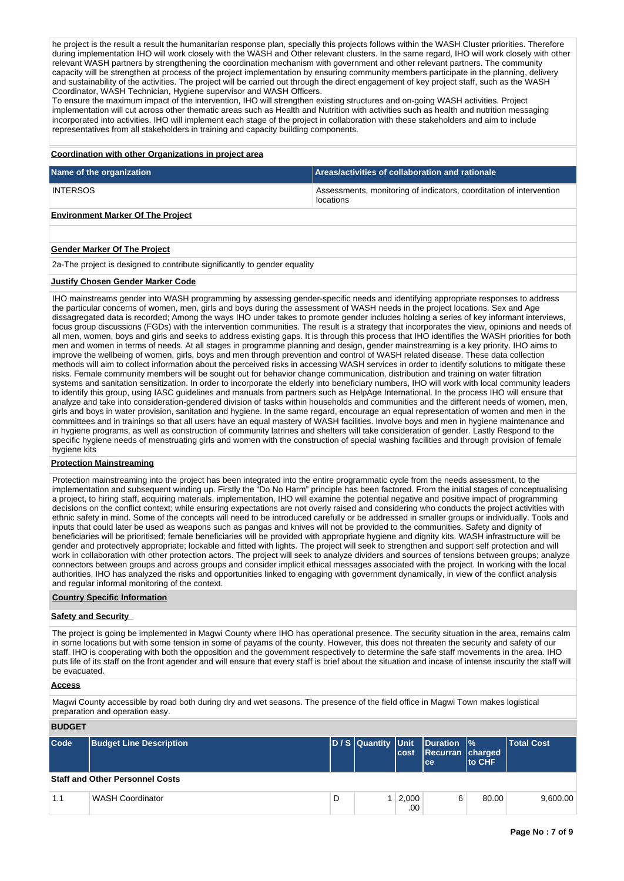he project is the result a result the humanitarian response plan, specially this projects follows within the WASH Cluster priorities. Therefore during implementation IHO will work closely with the WASH and Other relevant clusters. In the same regard, IHO will work closely with other relevant WASH partners by strengthening the coordination mechanism with government and other relevant partners. The community capacity will be strengthen at process of the project implementation by ensuring community members participate in the planning, delivery and sustainability of the activities. The project will be carried out through the direct engagement of key project staff, such as the WASH Coordinator, WASH Technician, Hygiene supervisor and WASH Officers.

To ensure the maximum impact of the intervention, IHO will strengthen existing structures and on-going WASH activities. Project implementation will cut across other thematic areas such as Health and Nutrition with activities such as health and nutrition messaging incorporated into activities. IHO will implement each stage of the project in collaboration with these stakeholders and aim to include representatives from all stakeholders in training and capacity building components.

# **Coordination with other Organizations in project area**

| Name of the organization                 | Areas/activities of collaboration and rationale                                  |
|------------------------------------------|----------------------------------------------------------------------------------|
| <b>INTERSOS</b>                          | Assessments, monitoring of indicators, coorditation of intervention<br>locations |
| <b>Environment Marker Of The Project</b> |                                                                                  |

## **Gender Marker Of The Project**

2a-The project is designed to contribute significantly to gender equality

### **Justify Chosen Gender Marker Code**

IHO mainstreams gender into WASH programming by assessing gender-specific needs and identifying appropriate responses to address the particular concerns of women, men, girls and boys during the assessment of WASH needs in the project locations. Sex and Age dissagregated data is recorded; Among the ways IHO under takes to promote gender includes holding a series of key informant interviews, focus group discussions (FGDs) with the intervention communities. The result is a strategy that incorporates the view, opinions and needs of all men, women, boys and girls and seeks to address existing gaps. It is through this process that IHO identifies the WASH priorities for both men and women in terms of needs. At all stages in programme planning and design, gender mainstreaming is a key priority. IHO aims to improve the wellbeing of women, girls, boys and men through prevention and control of WASH related disease. These data collection methods will aim to collect information about the perceived risks in accessing WASH services in order to identify solutions to mitigate these risks. Female community members will be sought out for behavior change communication, distribution and training on water filtration systems and sanitation sensitization. In order to incorporate the elderly into beneficiary numbers, IHO will work with local community leaders to identify this group, using IASC guidelines and manuals from partners such as HelpAge International. In the process IHO will ensure that analyze and take into consideration-gendered division of tasks within households and communities and the different needs of women, men, girls and boys in water provision, sanitation and hygiene. In the same regard, encourage an equal representation of women and men in the committees and in trainings so that all users have an equal mastery of WASH facilities. Involve boys and men in hygiene maintenance and in hygiene programs, as well as construction of community latrines and shelters will take consideration of gender. Lastly Respond to the specific hygiene needs of menstruating girls and women with the construction of special washing facilities and through provision of female hygiene kits

### **Protection Mainstreaming**

Protection mainstreaming into the project has been integrated into the entire programmatic cycle from the needs assessment, to the implementation and subsequent winding up. Firstly the "Do No Harm" principle has been factored. From the initial stages of conceptualising a project, to hiring staff, acquiring materials, implementation, IHO will examine the potential negative and positive impact of programming decisions on the conflict context; while ensuring expectations are not overly raised and considering who conducts the project activities with ethnic safety in mind. Some of the concepts will need to be introduced carefully or be addressed in smaller groups or individually. Tools and inputs that could later be used as weapons such as pangas and knives will not be provided to the communities. Safety and dignity of beneficiaries will be prioritised; female beneficiaries will be provided with appropriate hygiene and dignity kits. WASH infrastructure will be gender and protectively appropriate; lockable and fitted with lights. The project will seek to strengthen and support self protection and will work in collaboration with other protection actors. The project will seek to analyze dividers and sources of tensions between groups; analyze connectors between groups and across groups and consider implicit ethical messages associated with the project. In working with the local authorities, IHO has analyzed the risks and opportunities linked to engaging with government dynamically, in view of the conflict analysis and regular informal monitoring of the context.

# **Country Specific Information**

### **Safety and Security**

The project is going be implemented in Magwi County where IHO has operational presence. The security situation in the area, remains calm in some locations but with some tension in some of payams of the county. However, this does not threaten the security and safety of our staff. IHO is cooperating with both the opposition and the government respectively to determine the safe staff movements in the area. IHO puts life of its staff on the front agender and will ensure that every staff is brief about the situation and incase of intense inscurity the staff will be evacuated.

## **Access**

Magwi County accessible by road both during dry and wet seasons. The presence of the field office in Magwi Town makes logistical preparation and operation easy.

## **BUDGET**

| Code | <b>Budget Line Description</b>         |   | D / S Quantity Unit | lcost        | <b>Duration \%</b><br>Recurran charged<br>ce. | <b>Ito CHF</b> | <b>Total Cost</b> |
|------|----------------------------------------|---|---------------------|--------------|-----------------------------------------------|----------------|-------------------|
|      | <b>Staff and Other Personnel Costs</b> |   |                     |              |                                               |                |                   |
| 1.1  | <b>WASH Coordinator</b>                | D |                     | 2,000<br>.00 | 6                                             | 80.00          | 9,600.00          |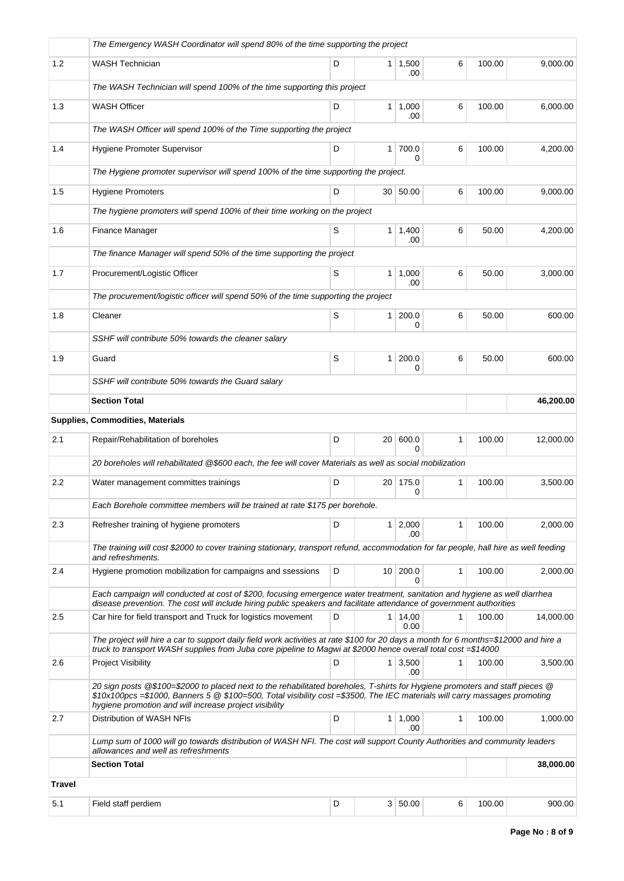|               | The Emergency WASH Coordinator will spend 80% of the time supporting the project                                                                                                                                                                                                                                     |   |                |                       |   |        |           |
|---------------|----------------------------------------------------------------------------------------------------------------------------------------------------------------------------------------------------------------------------------------------------------------------------------------------------------------------|---|----------------|-----------------------|---|--------|-----------|
| 1.2           | <b>WASH Technician</b>                                                                                                                                                                                                                                                                                               | D |                | $1 \mid 1,500$<br>.00 | 6 | 100.00 | 9,000.00  |
|               | The WASH Technician will spend 100% of the time supporting this project                                                                                                                                                                                                                                              |   |                |                       |   |        |           |
| 1.3           | <b>WASH Officer</b>                                                                                                                                                                                                                                                                                                  | D |                | 1   1,000<br>.00      | 6 | 100.00 | 6.000.00  |
|               | The WASH Officer will spend 100% of the Time supporting the project                                                                                                                                                                                                                                                  |   |                |                       |   |        |           |
| 1.4           | Hygiene Promoter Supervisor                                                                                                                                                                                                                                                                                          | D |                | 1 700.0<br>0          | 6 | 100.00 | 4,200.00  |
|               | The Hygiene promoter supervisor will spend 100% of the time supporting the project.                                                                                                                                                                                                                                  |   |                |                       |   |        |           |
| 1.5           | <b>Hygiene Promoters</b>                                                                                                                                                                                                                                                                                             | D |                | 30 50.00              | 6 | 100.00 | 9,000.00  |
|               | The hygiene promoters will spend 100% of their time working on the project                                                                                                                                                                                                                                           |   |                |                       |   |        |           |
| 1.6           | Finance Manager                                                                                                                                                                                                                                                                                                      | S | 1 <sup>1</sup> | 1,400<br>.00          | 6 | 50.00  | 4,200.00  |
|               | The finance Manager will spend 50% of the time supporting the project                                                                                                                                                                                                                                                |   |                |                       |   |        |           |
| 1.7           | Procurement/Logistic Officer                                                                                                                                                                                                                                                                                         | S | 1 <sup>1</sup> | 1,000<br>.00          | 6 | 50.00  | 3,000.00  |
|               | The procurement/logistic officer will spend 50% of the time supporting the project                                                                                                                                                                                                                                   |   |                |                       |   |        |           |
| 1.8           | Cleaner                                                                                                                                                                                                                                                                                                              | S | 1 <sup>1</sup> | 200.0<br>0            | 6 | 50.00  | 600.00    |
|               | SSHF will contribute 50% towards the cleaner salary                                                                                                                                                                                                                                                                  |   |                |                       |   |        |           |
| 1.9           | Guard                                                                                                                                                                                                                                                                                                                | S | 1 <sup>1</sup> | 200.0<br>0            | 6 | 50.00  | 600.00    |
|               | SSHF will contribute 50% towards the Guard salary                                                                                                                                                                                                                                                                    |   |                |                       |   |        |           |
|               | <b>Section Total</b>                                                                                                                                                                                                                                                                                                 |   |                |                       |   |        | 46,200.00 |
|               | Supplies, Commodities, Materials                                                                                                                                                                                                                                                                                     |   |                |                       |   |        |           |
| 2.1           | Repair/Rehabilitation of boreholes                                                                                                                                                                                                                                                                                   | D |                | 20 600.0<br>$\Omega$  | 1 | 100.00 | 12,000.00 |
|               | 20 boreholes will rehabilitated @\$600 each, the fee will cover Materials as well as social mobilization                                                                                                                                                                                                             |   |                |                       |   |        |           |
| $2.2\,$       | Water management committes trainings                                                                                                                                                                                                                                                                                 | D | $20-1$         | 175.0<br>0            | 1 | 100.00 | 3,500.00  |
|               | Each Borehole committee members will be trained at rate \$175 per borehole                                                                                                                                                                                                                                           |   |                |                       |   |        |           |
| 2.3           | Refresher training of hygiene promoters                                                                                                                                                                                                                                                                              | D |                | $1 \ 2,000$<br>.00    | 1 | 100.00 | 2.000.00  |
|               | The training will cost \$2000 to cover training stationary, transport refund, accommodation for far people, hall hire as well feeding<br>and refreshments.                                                                                                                                                           |   |                |                       |   |        |           |
| 2.4           | Hygiene promotion mobilization for campaigns and ssessions                                                                                                                                                                                                                                                           | D |                | 10 200.0<br>$\Omega$  | 1 | 100.00 | 2,000.00  |
|               | Each campaign will conducted at cost of \$200, focusing emergence water treatment, sanitation and hygiene as well diarrhea<br>disease prevention. The cost will include hiring public speakers and facilitate attendance of government authorities                                                                   |   |                |                       |   |        |           |
| 2.5           | Car hire for field transport and Truck for logistics movement                                                                                                                                                                                                                                                        | D | 1 <sup>1</sup> | 14,00<br>0.00         | 1 | 100.00 | 14,000.00 |
|               | The project will hire a car to support daily field work activities at rate \$100 for 20 days a month for 6 months=\$12000 and hire a<br>truck to transport WASH supplies from Juba core pipeline to Magwi at \$2000 hence overall total cost = \$14000                                                               |   |                |                       |   |        |           |
| 2.6           | <b>Project Visibility</b>                                                                                                                                                                                                                                                                                            | D |                | $1 \mid 3,500$<br>.00 | 1 | 100.00 | 3,500.00  |
|               | 20 sign posts @\$100=\$2000 to placed next to the rehabilitated boreholes, T-shirts for Hygiene promoters and staff pieces @<br>\$10x100pcs =\$1000, Banners 5 @ \$100=500, Total visibility cost =\$3500, The IEC materials will carry massages promoting<br>hygiene promotion and will increase project visibility |   |                |                       |   |        |           |
| 2.7           | Distribution of WASH NFIs                                                                                                                                                                                                                                                                                            | D |                | $1 \mid 1,000$<br>.00 | 1 | 100.00 | 1,000.00  |
|               | Lump sum of 1000 will go towards distribution of WASH NFI. The cost will support County Authorities and community leaders<br>allowances and well as refreshments                                                                                                                                                     |   |                |                       |   |        |           |
|               | <b>Section Total</b>                                                                                                                                                                                                                                                                                                 |   |                |                       |   |        | 38,000.00 |
| <b>Travel</b> |                                                                                                                                                                                                                                                                                                                      |   |                |                       |   |        |           |
| 5.1           | Field staff perdiem                                                                                                                                                                                                                                                                                                  | D |                | 3   50.00             | 6 | 100.00 | 900.00    |